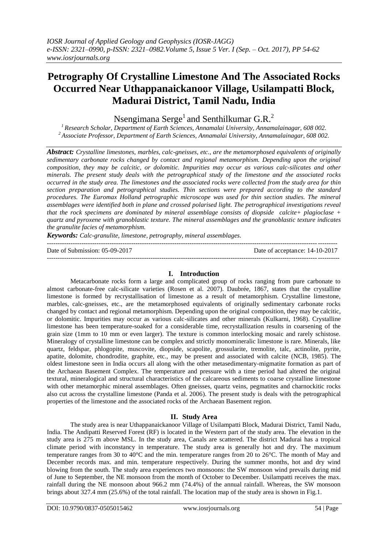# **Petrography Of Crystalline Limestone And The Associated Rocks Occurred Near Uthappanaickanoor Village, Usilampatti Block, Madurai District, Tamil Nadu, India**

Nsengimana Serge<sup>1</sup> and Senthilkumar G.R.<sup>2</sup>

*<sup>1</sup>Research Scholar, Department of Earth Sciences, Annamalai University, Annamalainagar, 608 002. <sup>2</sup>Associate Professor, Department of Earth Sciences, Annamalai University, Annamalainagar, 608 002.* 

*Abstract: Crystalline limestones, marbles, calc-gneisses, etc., are the metamorphosed equivalents of originally sedimentary carbonate rocks changed by contact and regional metamorphism. Depending upon the original composition, they may be calcitic, or dolomitic. Impurities may occur as various calc-silicates and other minerals. The present study deals with the petrographical study of the limestone and the associated rocks occurred in the study area. The limestones and the associated rocks were collected from the study area for thin section preparation and petrographical studies. Thin sections were prepared according to the standard procedures. The Euromax Holland petrographic microscope was used for thin section studies. The mineral assemblages were identified both in plane and crossed polarised light. The petrographical investigations reveal that the rock specimens are dominated by mineral assemblage consists of diopside calcite+ plagioclase + quartz and pyroxene with granoblastic texture. The mineral assemblages and the granoblastic texture indicates the granulite facies of metamorphism.* 

*Keywords: Calc-granulite, limestone, petrography, mineral assemblages.*

| Date of Submission: 05-09-2017 | Date of acceptance: 14-10-2017 |
|--------------------------------|--------------------------------|
|                                |                                |

## **I. Introduction**

Metacarbonate rocks form a large and complicated group of rocks ranging from pure carbonate to almost carbonate-free calc-silicate varieties (Rosen et al. 2007). Daubrée, 1867, states that the crystalline limestone is formed by recrystallisation of limestone as a result of metamorphism. Crystalline limestone, marbles, calc-gneisses, etc., are the metamorphosed equivalents of originally sedimentary carbonate rocks changed by contact and regional metamorphism. Depending upon the original composition, they may be calcitic, or dolomitic. Impurities may occur as various calc-silicates and other minerals (Kulkarni, 1968). Crystalline limestone has been temperature-soaked for a considerable time, recrystallization results in coarsening of the grain size (1mm to 10 mm or even larger). The texture is common interlocking mosaic and rarely schistose. Mineralogy of crystalline limestone can be complex and strictly monomineralic limestone is rare. Minerals, like quartz, feldspar, phlogopite, muscovite, diopside, scapolite, grossularite, tremolite, talc, actinolite, pyrite, apatite, dolomite, chondrodite, graphite, etc., may be present and associated with calcite (NCB, 1985). The oldest limestone seen in India occurs all along with the other metasedimentary-migmatite formation as part of the Archaean Basement Complex. The temperature and pressure with a time period had altered the original textural, mineralogical and structural characteristics of the calcareous sediments to coarse crystalline limestone with other metamorphic mineral assemblages. Often gneisses, quartz veins, pegmatites and charnockitic rocks also cut across the crystalline limestone (Panda et al. 2006). The present study is deals with the petrographical properties of the limestone and the associated rocks of the Archaean Basement region.

## **II. Study Area**

The study area is near Uthappanaickanoor Village of Usilampatti Block, Madurai District, Tamil Nadu, India. The Andipatti Reserved Forest (RF) is located in the Western part of the study area. The elevation in the study area is 275 m above MSL. In the study area, Canals are scattered. The district Madurai has a tropical climate period with inconstancy in temperature. The study area is generally hot and dry. The maximum temperature ranges from 30 to 40°C and the min. temperature ranges from 20 to 26°C. The month of May and December records max. and min. temperature respectively. During the summer months, hot and dry wind blowing from the south. The study area experiences two monsoons: the SW monsoon wind prevails during mid of June to September, the NE monsoon from the month of October to December. Usilampatti receives the max. rainfall during the NE monsoon about 966.2 mm (74.4%) of the annual rainfall. Whereas, the SW monsoon brings about 327.4 mm (25.6%) of the total rainfall. The location map of the study area is shown in Fig.1.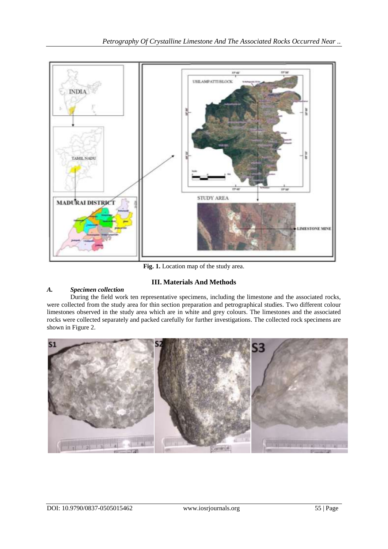

**Fig. 1.** Location map of the study area.

## **III. Materials And Methods**

## *A. Specimen collection*

During the field work ten representative specimens, including the limestone and the associated rocks, were collected from the study area for thin section preparation and petrographical studies. Two different colour limestones observed in the study area which are in white and grey colours. The limestones and the associated rocks were collected separately and packed carefully for further investigations. The collected rock specimens are shown in Figure 2.

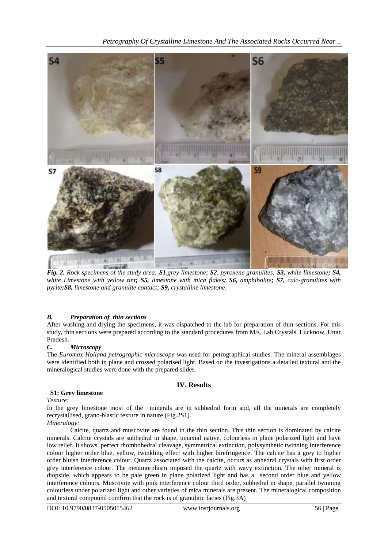

*Fig. 2. Rock specimens of the study area: S1,grey limestone; S2, pyroxene granulites; S3, white limestone; S4, white Limestone with yellow tint; S5, limestone with mica flakes; S6, amphibolite; S7, calc-granulites with pyrite;S8, limestone and granulite contact; S9, crystalline limestone.*

## *B. Preparation of thin sections*

After washing and drying the specimens, it was dispatched to the lab for preparation of thin sections. For this study, thin sections were prepared according to the standard procedures from M/s. Lab Crystals, Lucknow, Uttar Pradesh.

#### *C. Microscopy*

The *Euromax Holland petrographic microscope* was used for petrographical studies. The mineral assemblages were identified both in plane and crossed polarised light. Based on the investigations a detailed textural and the mineralogical studies were done with the prepared slides.

## **IV. Results**

### **S1: Grey limestone**

*Texture:*

In the grey limestone most of the minerals are in subhedral form and, all the minerals are completely recrystallised, grano-blastic texture in nature (Fig.2S1).

#### *Mineralogy:*

Calcite, quartz and muscovite are found in the thin section. This thin section is dominated by calcite minerals. Calcite crystals are subhedral in shape, uniaxial native, colourless in plane polarized light and have low relief. It shows perfect rhombohedral cleavage, symmetrical extinction, polysynthetic twinning interference colour higher order blue, yellow, twinkling effect with higher birefringence. The calcite has a grey to higher order bluish interference colour. Quartz associated with the calcite, occurs as anhedral crystals with first order grey interference colour. The metamorphism imposed the quartz with wavy extinction. The other mineral is diopside, which appears to be pale green in plane polarized light and has a second order blue and yellow interference colours. Muscovite with pink interference colour third order, subhedral in shape, parallel twinning colourless under polarized light and other varieties of mica minerals are present. The mineralogical composition and textural compound comfirm that the rock is of granulitic facies (Fig.3A)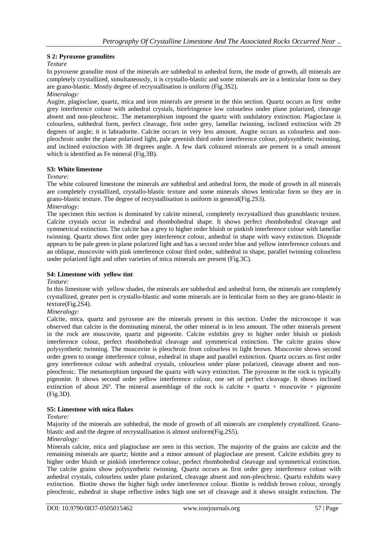## **S 2: Pyroxene granulites**

## *Texture*

In pyroxene granulite most of the minerals are subhedral to anhedral form, the mode of growth, all minerals are completely crystallized, simultaneously, it is crystallo-blastic and some minerals are in a lenticular form so they are grano-blastic. Mostly degree of recrystallisation is uniform (Fig.3S2). *Mineralogy:*

Augite, plagioclase, quartz, mica and iron minerals are present in the thin section. Quartz occurs as first order grey interference colour with anhedral crystals, birefringence low colourless under plane polarized, cleavage absent and non-pleochroic. The metamorphism imposed the quartz with undulatory extinction. Plagioclase is colourless, subhedral form, perfect cleavage, first order grey, lamellar twinning, inclined extinction with 29 degrees of angle; it is labradorite. Calcite occurs in very less amount. Augite occurs as colourless and nonpleochroic under the plane polarized light, pale greenish third order interference colour, polysynthetic twinning, and inclined extinction with 38 degrees angle. A few dark coloured minerals are present in a small amount which is identified as Fe mineral (Fig.3B).

## **S3: White limestone**

#### *Texture:*

The white coloured limestone the minerals are subhedral and anhedral form, the mode of growth in all minerals are completely crystallized, crystallo-blastic texture and some minerals shows lenticular form so they are in grano-blastic texture. The degree of recrystallisation is uniform in general(Fig.2S3). *Mineralogy:*

The specimen thin section is dominated by calcite mineral, completely recrystallized thus granoblastic texture. Calcite crystals occur in euhedral and rhombohedral shape. It shows perfect rhombohedral cleavage and symmetrical extinction. The calcite has a grey to higher order bluish or pinkish interference colour with lamellar twinning. Quartz shows first order grey interference colour, anhedral in shape with wavy extinction. Diopside appears to be pale green in plane polarized light and has a second order blue and yellow interference colours and an oblique, muscovite with pink interference colour third order, subhedral in shape, parallel twinning colourless under polarized light and other varieties of mica minerals are present (Fig.3C).

## **S4: Limestone with yellow tint**

*Texture:*

In this limestone with yellow shades, the minerals are subhedral and anhedral form, the minerals are completely crystallized, greater pert is crystallo-blastic and some minerals are in lenticular form so they are grano-blastic in texture(Fig.2S4).

## *Mineralogy:*

Calcite, mica, quartz and pyroxene are the minerals present in this section. Under the microscope it was observed that calcite is the dominating mineral, the other mineral is in less amount. The other minerals present in the rock are muscovite, quartz and pigeonite. Calcite exhibits grey to higher order bluish or pinkish interference colour, perfect rhombohedral cleavage and symmetrical extinction. The calcite grains show polysynthetic twinning. The muscovite is pleochroic from colourless to light brown. Muscovite shows second order green to orange interference colour, euhedral in shape and parallel extinction. Quartz occurs as first order grey interference colour with anhedral crystals, colourless under plane polarized, cleavage absent and nonpleochroic. The metamorphism imposed the quartz with wavy extinction. The pyroxene in the rock is typically pigeonite. It shows second order yellow interference colour, one set of perfect cleavage. It shows inclined extinction of about 26 $^{\circ}$ . The mineral assemblage of the rock is calcite + quartz + muscovite + pigeonite (Fig.3D).

### **S5: Limestone with mica flakes**

#### *Texture:*

Majority of the minerals are subhedral, the mode of growth of all minerals are completely crystallized. Granoblastic and and the degree of recrystallisation is almost uniform(Fig.2S5).

## *Mineralogy:*

Minerals calcite, mica and plagioclase are seen in this section. The majority of the grains are calcite and the remaining minerals are quartz; biotite and a minor amount of plagioclase are present. Calcite exhibits grey to higher order bluish or pinkish interference colour, perfect rhombohedral cleavage and symmetrical extinction. The calcite grains show polysynthetic twinning. Quartz occurs as first order grey interference colour with anhedral crystals, colourless under plane polarized, cleavage absent and non-pleochroic. Quartz exhibits wavy extinction. Biotite shows the higher high order interference colour. Biotite is reddish brown colour, strongly pleochroic, euhedral in shape reflective index high one set of cleavage and it shows straight extinction. The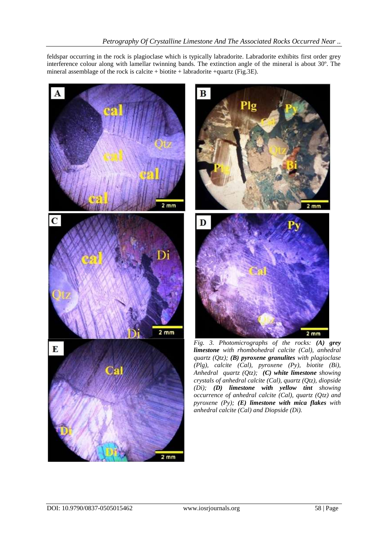feldspar occurring in the rock is plagioclase which is typically labradorite. Labradorite exhibits first order grey interference colour along with lamellar twinning bands. The extinction angle of the mineral is about 30º. The mineral assemblage of the rock is calcite + biotite + labradorite +quartz (Fig.3E).

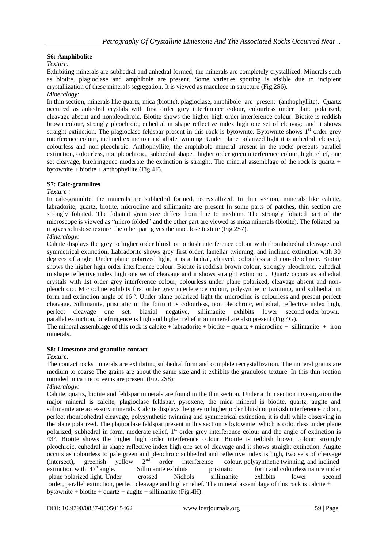## **S6: Amphibolite**

*Texture:*

Exhibiting minerals are subhedral and anhedral formed, the minerals are completely crystallized. Minerals such as biotite, plagioclase and amphibole are present. Some varieties spotting is visible due to incipient crystallization of these minerals segregation. It is viewed as maculose in structure (Fig.2S6). *Mineralogy:*

In thin section, minerals like quartz, mica (biotite), plagioclase, amphibole are present (anthophyllite). Quartz occurred as anhedral crystals with first order grey interference colour, colourless under plane polarized, cleavage absent and nonpleochroic. Biotite shows the higher high order interference colour. Biotite is reddish brown colour, strongly pleochroic, euhedral in shape reflective index high one set of cleavage and it shows straight extinction. The plagioclase feldspar present in this rock is bytownite. Bytownite shows  $1<sup>st</sup>$  order grey interference colour, inclined extinction and albite twinning. Under plane polarized light it is anhedral, cleaved, colourless and non-pleochroic. Anthophyllite, the amphibole mineral present in the rocks presents parallel extinction, colourless, non pleochroic, subhedral shape, higher order green interference colour, high relief, one set cleavage, birefringence moderate the extinction is straight. The mineral assemblage of the rock is quartz  $+$ bytownite + biotite + anthophyllite (Fig.4F).

## **S7: Calc-granulites**

#### *Texture :*

In calc-granulite, the minerals are subhedral formed, recrystallized. In thin section, minerals like calcite, labradorite, quartz, biotite, microcline and sillimanite are present In some parts of patches, thin section are strongly foliated. The foliated grain size differs from fine to medium. The strongly foliated part of the microscope is viewed as "micro folded" and the other part are viewed as mica minerals (biotite). The foliated pa rt gives schistose texture the other part gives the maculose texture (Fig.2S7).

## *Mineralogy:*

Calcite displays the grey to higher order bluish or pinkish interference colour with rhombohedral cleavage and symmetrical extinction. Labradorite shows grey first order, lamellar twinning, and inclined extinction with 30 degrees of angle. Under plane polarized light, it is anhedral, cleaved, colourless and non-pleochroic. Biotite shows the higher high order interference colour. Biotite is reddish brown colour, strongly pleochroic, euhedral in shape reflective index high one set of cleavage and it shows straight extinction. Quartz occurs as anhedral crystals with 1st order grey interference colour, colourless under plane polarized, cleavage absent and nonpleochroic. Microcline exhibits first order grey interference colour, polysynthetic twinning, and subhedral in form and extinction angle of 16 º. Under plane polarized light the microcline is colourless and present perfect cleavage. Sillimanite, prismatic in the form it is colourless, non pleochroic, euhedral, reflective index high, perfect cleavage one set, biaxial negative, sillimanite exhibits lower second order brown. set, biaxial negative, sillimanite exhibits lower second order brown, parallel extinction, birefringence is high and higher relief iron mineral are also present (Fig.4G). The mineral assemblage of this rock is calcite + labradorite + biotite + quartz + microcline + sillimanite + iron

minerals.

#### **S8: Limestone and granulite contact**

#### *Texture:*

The contact rocks minerals are exhibiting subhedral form and complete recrystallization. The mineral grains are medium to coarse.The grains are about the same size and it exhibits the granulose texture. In this thin section intruded mica micro veins are present (Fig. 2S8).

#### *Mineralogy:*

Calcite, quartz, biotite and feldspar minerals are found in the thin section. Under a thin section investigation the major mineral is calcite, plagioclase feldspar, pyroxene, the mica mineral is biotite, quartz, augite and sillimanite are accessory minerals. Calcite displays the grey to higher order bluish or pinkish interference colour, perfect rhombohedral cleavage, polysynthetic twinning and symmetrical extinction, it is dull while observing in the plane polarized. The plagioclase feldspar present in this section is bytownite, which is colourless under plane polarized, subhedral in form, moderate relief, 1<sup>st</sup> order grey interference colour and the angle of extinction is 43°. Biotite shows the higher high order interference colour. Biotite is reddish brown colour, strongly pleochroic, euhedral in shape reflective index high one set of cleavage and it shows straight extinction. Augite occurs as colourless to pale green and pleochroic subhedral and reflective index is high, two sets of cleavage<br>(intersect) greenish vellow  $2<sup>nd</sup>$  order interference colour polysynthetic twinning and inclined (intersect), greenish yellow  $2<sup>nd</sup>$  order interference colour, polysynthetic twinning, and inclined extinction with  $47^\circ$  angle. Sillimanite exhibits prismatic form and colourless nature under plane polarized light. Under crossed Nichols sillimanite exhibits lower second order, parallel extinction, perfect cleavage and higher relief. The mineral assemblage of this rock is calcite + bytownite + biotite + quartz + augite + sillimanite (Fig.4H).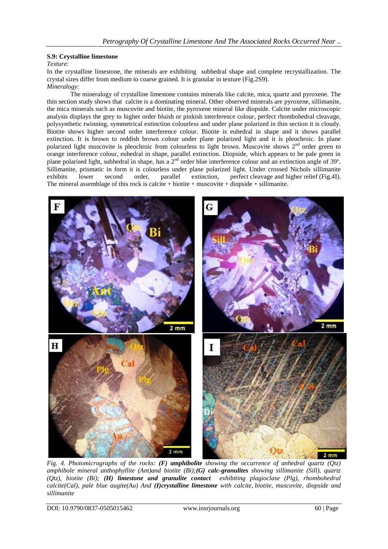## **S.9: Crystalline limestone**

#### *Texture:*

In the crystalline limestone, the minerals are exhibiting subhedral shape and complete recrystallization. The crystal sizes differ from medium to coarse grained. It is granular in texture (Fig.2S9). *Mineralogy:*

The mineralogy of crystalline limestone contains minerals like calcite, mica, quartz and pyroxene. The thin section study shows that calcite is a dominating mineral. Other observed minerals are pyroxene, sillimanite, the mica minerals such as muscovite and biotite, the pyroxene mineral like diopside. Calcite under microscopic analysis displays the grey to higher order bluish or pinkish interference colour, perfect rhombohedral cleavage, polysynthetic twinning, symmetrical extinction colourless and under plane polarized in thin section it is cloudy. Biotite shows higher second order interference colour. Biotite is euhedral in shape and it shows parallel extinction. It is brown to reddish brown colour under plane polarized light and it is pleochroic. In plane polarized light muscovite is pleochroic from colourless to light brown. Muscovite shows 2<sup>nd</sup> order green to orange interference colour, euhedral in shape, parallel extinction. Diopside, which appears to be pale green in plane polarised light, subhedral in shape, has a 2<sup>nd</sup> order blue interference colour and an extinction angle of 39°. Sillimanite, prismatic in form it is colourless under plane polarized light. Under crossed Nichols sillimanite exhibits lower second order, parallel extinction, perfect cleavage and higher relief (Fig.41). lower second order, parallel extinction, perfect cleavage and higher relief (Fig.4I). The mineral assemblage of this rock is calcite + biotite + muscovite + diopside + sillimanite.



*Fig. 4. Photomicrographs of the rocks: (F) amphibolite showing the occurrence of anhedral quartz (Qtz) amphibole mineral anthophyllite (Ant)and biotite (Bi);(G) calc-granulites showing sillimanite (Sill), quartz (Qtz), biotite (Bi); (H) limestone and granulite contact exhibiting plagioclase (Plg), rhombohedral calcite(Cal), pale blue augite(Au) And (I)crystalline limestone with calcite, biotite, muscovite, diopside and sillimanite*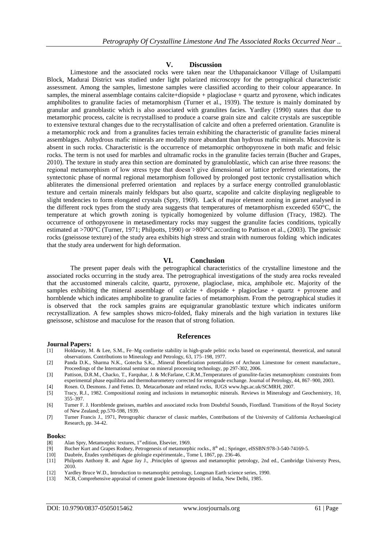#### **V. Discussion**

Limestone and the associated rocks were taken near the Uthapanaickanoor Village of Usilampatti Block, Madurai District was studied under light polarized microscopy for the petrographical characteristic assessment. Among the samples, limestone samples were classified according to their colour appearance. In samples, the mineral assemblage contains calcite+diopside + plagioclase + quartz and pyroxene, which indicates amphibolites to granulite facies of metamorphism (Turner et al., 1939). The texture is mainly dominated by granular and granoblastic which is also associated with granulites facies. Yardley (1990) states that due to metamorphic process, calcite is recrystallised to produce a coarse grain size and calcite crystals are susceptible to extensive textural changes due to the recrystallisation of calcite and often a preferred orientation. Granulite is a metamorphic rock and from a granulites facies terrain exhibiting the characteristic of granulite facies mineral assemblages. Anhydrous mafic minerals are modally more abundant than hydrous mafic minerals. Muscovite is absent in such rocks. Characteristic is the occurrence of metamorphic orthopyroxene in both mafic and felsic rocks. The term is not used for marbles and ultramafic rocks in the granulite facies terrain (Bucher and Grapes, 2010). The texture in study area thin section are dominated by granuloblastic, which can arise three reasons: the regional metamorphism of low stress type that doesn't give dimensional or lattice preferred orientations, the syntectonic phase of normal regional metamorphism followed by prolonged post tectonic crystallisation which abliterates the dimensional preferred orientation and replaces by a surface energy controlled granuloblastic texture and certain minerals mainly feldspars but also quartz, scapolite and calcite displaying negligeable to slight tendencies to form elongated crystals (Spry, 1969). Lack of major element zoning in garnet analysed in the different rock types from the study area suggests that temperatures of metamorphism exceeded 650°C, the temperature at which growth zoning is typically homogenized by volume diffusion (Tracy, 1982). The occurrence of orthopyroxene in metasedimentary rocks may suggest the granulite facies conditions, typically estimated at >700°C (Turner, 1971; Philpotts, 1990) or >800°C according to Pattison et al., (2003). The gneissic rocks (gneissose texture) of the study area exhibits high stress and strain with numerous folding which indicates that the study area underwent for high deformation.

#### **VI. Conclusion**

The present paper deals with the petrographical characteristics of the crystalline limestone and the associated rocks occurring in the study area. The petrographical investigations of the study area rocks revealed that the accustomed minerals calcite, quartz, pyroxene, plagioclase, mica, amphibole etc. Majority of the samples exhibiting the mineral assemblage of calcite + diopside + plagioclase + quartz + pyroxene and hornblende which indicates amphibolite to granulite facies of metamorphism. From the petrographical studies it is observed that the rock samples grains are equigranular granoblastic texture which indicates uniform recrystallization. A few samples shows micro-folded, flaky minerals and the high variation in textures like gneissose, schistose and maculose for the reason that of strong foliation.

#### **References**

#### **Journal Papers:**

- [1] Holdaway, M. & Lee, S.M., Fe–Mg cordierite stability in high-grade pelitic rocks based on experimental, theoretical, and natural observations. Contributions to Mineralogy and Petrology, 63, 175–198, 1977.
- [2] Panda D.K., Sharma N.K., Gotecha S.K., .Mineral Beneficiation potentialities of Archean Limestone for cement manufacture., Proceedings of the International seminar on mineral processing technology, pp 297-302, 2006.
- [3] Pattison, D.R.M., Chacko, T., Farquhar, J. & McFarlane, C.R.M.,Temperatures of granulite-facies metamorphism: constraints from experimental phase equilibria and thermobarometery corrected for retrograde exchange. Journal of Petrology, 44, 867–900, 2003.
- [4] Rosen. O, Desmons. J and Fettes. D, Metacarbonate and related rocks, IUGS [www.bgs.ac.uk/SCMRH](http://www.bgs.ac.uk/SCMRH), 2007.
- [5] Tracy, R.J., 1982. Compositional zoning and inclusions in metamorphic minerals. Reviews in Mineralogy and Geochemistry, 10, 355–397.
- [6] Turner F. J. Hornblende gneisses, marbles and associated rocks from Doubtful Sounds, Fiordland. Transitions of the Royal Society of New Zealand; pp.570-598, 1939.
- [7] Turner Francis J., 1971, Petrographic character of classic marbles, Contributions of the University of California Archaeological Research, pp. 34-42.

#### **Books:**

- [8] Alan Spry, Metamorphic textures, 1<sup>st</sup> edition, Elsevier, 1969.<br>[9] Bucher Kurt and Grapes Rodney, Petrogenesis of metamorphic
- Bucher Kurt and Grapes Rodney, Petrogenesis of metamorphic rocks., 8<sup>th</sup> ed.; Springer, eISSBN:978-3-540-74169-5.
- [10] Daubrée, Études synthétiques de géologie expérimentale., Tome I, 1867, pp. 236-46.
- [11] Philpotts Anthony R. and Ague Jay J., .Principles of igneous and metamorphic petrology, 2nd ed., Cambridge Universty Press, 2010.
- [12] Yardley Bruce W.D., Introduction to metamorphic petrology, Longman Earth science series, 1990.
- [13] NCB, Comprehensive appraisal of cement grade limestone deposits of India, New Delhi, 1985.